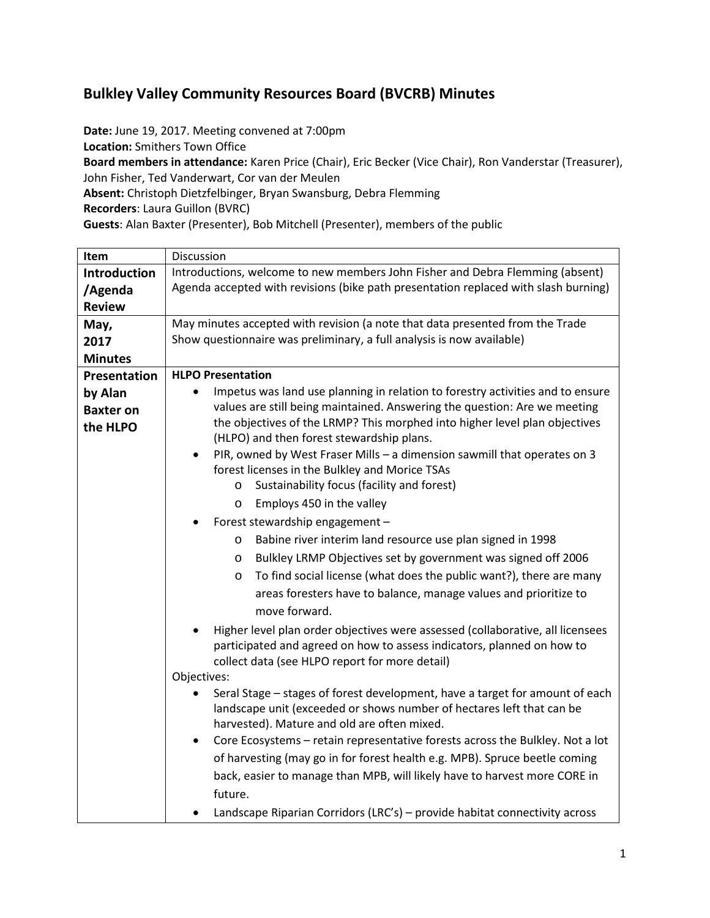## **Bulkley Valley Community Resources Board (BVCRB) Minutes**

**Date:** June 19, 2017. Meeting convened at 7:00pm

**Location:** Smithers Town Office

**Board members in attendance:** Karen Price (Chair), Eric Becker (Vice Chair), Ron Vanderstar (Treasurer), John Fisher, Ted Vanderwart, Cor van der Meulen

**Absent:** Christoph Dietzfelbinger, Bryan Swansburg, Debra Flemming

**Recorders**: Laura Guillon (BVRC)

**Guests**: Alan Baxter (Presenter), Bob Mitchell (Presenter), members of the public

| Item                                                                     | Discussion                                                                                                                                               |  |  |  |  |
|--------------------------------------------------------------------------|----------------------------------------------------------------------------------------------------------------------------------------------------------|--|--|--|--|
| <b>Introduction</b>                                                      | Introductions, welcome to new members John Fisher and Debra Flemming (absent)                                                                            |  |  |  |  |
| /Agenda                                                                  | Agenda accepted with revisions (bike path presentation replaced with slash burning)                                                                      |  |  |  |  |
| <b>Review</b>                                                            |                                                                                                                                                          |  |  |  |  |
| May,                                                                     | May minutes accepted with revision (a note that data presented from the Trade                                                                            |  |  |  |  |
| 2017                                                                     | Show questionnaire was preliminary, a full analysis is now available)                                                                                    |  |  |  |  |
| <b>Minutes</b>                                                           |                                                                                                                                                          |  |  |  |  |
| Presentation                                                             | <b>HLPO Presentation</b>                                                                                                                                 |  |  |  |  |
| by Alan                                                                  | Impetus was land use planning in relation to forestry activities and to ensure                                                                           |  |  |  |  |
| <b>Baxter on</b>                                                         | values are still being maintained. Answering the question: Are we meeting                                                                                |  |  |  |  |
| the HLPO                                                                 | the objectives of the LRMP? This morphed into higher level plan objectives                                                                               |  |  |  |  |
|                                                                          | (HLPO) and then forest stewardship plans.                                                                                                                |  |  |  |  |
|                                                                          | PIR, owned by West Fraser Mills - a dimension sawmill that operates on 3<br>$\bullet$<br>forest licenses in the Bulkley and Morice TSAs                  |  |  |  |  |
|                                                                          | Sustainability focus (facility and forest)<br>$\circ$                                                                                                    |  |  |  |  |
|                                                                          | Employs 450 in the valley<br>$\circ$                                                                                                                     |  |  |  |  |
|                                                                          | Forest stewardship engagement -                                                                                                                          |  |  |  |  |
|                                                                          | Babine river interim land resource use plan signed in 1998<br>O                                                                                          |  |  |  |  |
| Bulkley LRMP Objectives set by government was signed off 2006<br>$\circ$ |                                                                                                                                                          |  |  |  |  |
|                                                                          | To find social license (what does the public want?), there are many<br>$\circ$                                                                           |  |  |  |  |
|                                                                          | areas foresters have to balance, manage values and prioritize to                                                                                         |  |  |  |  |
|                                                                          | move forward.                                                                                                                                            |  |  |  |  |
|                                                                          |                                                                                                                                                          |  |  |  |  |
|                                                                          | Higher level plan order objectives were assessed (collaborative, all licensees<br>participated and agreed on how to assess indicators, planned on how to |  |  |  |  |
|                                                                          | collect data (see HLPO report for more detail)                                                                                                           |  |  |  |  |
|                                                                          | Objectives:                                                                                                                                              |  |  |  |  |
|                                                                          | Seral Stage - stages of forest development, have a target for amount of each                                                                             |  |  |  |  |
|                                                                          | landscape unit (exceeded or shows number of hectares left that can be                                                                                    |  |  |  |  |
|                                                                          | harvested). Mature and old are often mixed.                                                                                                              |  |  |  |  |
|                                                                          | Core Ecosystems - retain representative forests across the Bulkley. Not a lot<br>$\bullet$                                                               |  |  |  |  |
|                                                                          | of harvesting (may go in for forest health e.g. MPB). Spruce beetle coming                                                                               |  |  |  |  |
|                                                                          | back, easier to manage than MPB, will likely have to harvest more CORE in                                                                                |  |  |  |  |
|                                                                          | future.                                                                                                                                                  |  |  |  |  |
|                                                                          | Landscape Riparian Corridors (LRC's) - provide habitat connectivity across                                                                               |  |  |  |  |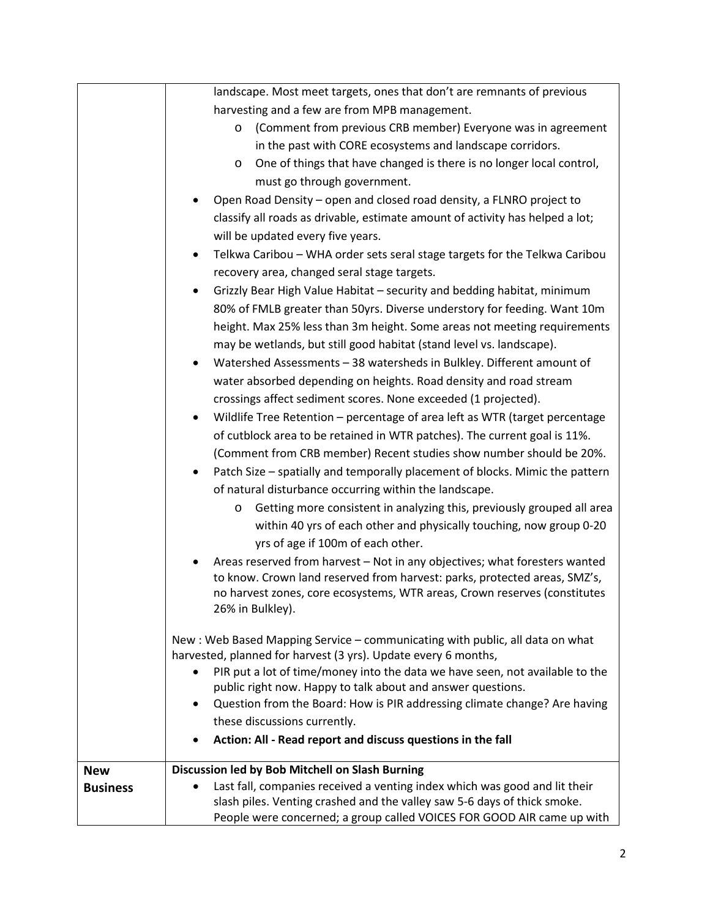|                 | landscape. Most meet targets, ones that don't are remnants of previous                                                                                  |  |  |  |  |
|-----------------|---------------------------------------------------------------------------------------------------------------------------------------------------------|--|--|--|--|
|                 | harvesting and a few are from MPB management.                                                                                                           |  |  |  |  |
|                 | (Comment from previous CRB member) Everyone was in agreement<br>O                                                                                       |  |  |  |  |
|                 | in the past with CORE ecosystems and landscape corridors.                                                                                               |  |  |  |  |
|                 | One of things that have changed is there is no longer local control,<br>O                                                                               |  |  |  |  |
|                 | must go through government.                                                                                                                             |  |  |  |  |
|                 | Open Road Density – open and closed road density, a FLNRO project to                                                                                    |  |  |  |  |
|                 | classify all roads as drivable, estimate amount of activity has helped a lot;                                                                           |  |  |  |  |
|                 | will be updated every five years.                                                                                                                       |  |  |  |  |
|                 | Telkwa Caribou - WHA order sets seral stage targets for the Telkwa Caribou<br>$\bullet$                                                                 |  |  |  |  |
|                 | recovery area, changed seral stage targets.                                                                                                             |  |  |  |  |
|                 | Grizzly Bear High Value Habitat - security and bedding habitat, minimum                                                                                 |  |  |  |  |
|                 | 80% of FMLB greater than 50yrs. Diverse understory for feeding. Want 10m                                                                                |  |  |  |  |
|                 | height. Max 25% less than 3m height. Some areas not meeting requirements                                                                                |  |  |  |  |
|                 | may be wetlands, but still good habitat (stand level vs. landscape).                                                                                    |  |  |  |  |
|                 | Watershed Assessments - 38 watersheds in Bulkley. Different amount of<br>$\bullet$                                                                      |  |  |  |  |
|                 | water absorbed depending on heights. Road density and road stream                                                                                       |  |  |  |  |
|                 | crossings affect sediment scores. None exceeded (1 projected).                                                                                          |  |  |  |  |
|                 |                                                                                                                                                         |  |  |  |  |
|                 | Wildlife Tree Retention - percentage of area left as WTR (target percentage<br>٠                                                                        |  |  |  |  |
|                 | of cutblock area to be retained in WTR patches). The current goal is 11%.<br>(Comment from CRB member) Recent studies show number should be 20%.        |  |  |  |  |
|                 | Patch Size - spatially and temporally placement of blocks. Mimic the pattern<br>٠                                                                       |  |  |  |  |
|                 | of natural disturbance occurring within the landscape.                                                                                                  |  |  |  |  |
|                 | Getting more consistent in analyzing this, previously grouped all area                                                                                  |  |  |  |  |
|                 | O<br>within 40 yrs of each other and physically touching, now group 0-20                                                                                |  |  |  |  |
|                 | yrs of age if 100m of each other.                                                                                                                       |  |  |  |  |
|                 |                                                                                                                                                         |  |  |  |  |
|                 | Areas reserved from harvest - Not in any objectives; what foresters wanted<br>to know. Crown land reserved from harvest: parks, protected areas, SMZ's, |  |  |  |  |
|                 | no harvest zones, core ecosystems, WTR areas, Crown reserves (constitutes                                                                               |  |  |  |  |
|                 | 26% in Bulkley).                                                                                                                                        |  |  |  |  |
|                 |                                                                                                                                                         |  |  |  |  |
|                 | New: Web Based Mapping Service - communicating with public, all data on what                                                                            |  |  |  |  |
|                 | harvested, planned for harvest (3 yrs). Update every 6 months,                                                                                          |  |  |  |  |
|                 | PIR put a lot of time/money into the data we have seen, not available to the<br>$\bullet$                                                               |  |  |  |  |
|                 | public right now. Happy to talk about and answer questions.<br>Question from the Board: How is PIR addressing climate change? Are having<br>$\bullet$   |  |  |  |  |
|                 | these discussions currently.                                                                                                                            |  |  |  |  |
|                 | Action: All - Read report and discuss questions in the fall                                                                                             |  |  |  |  |
|                 |                                                                                                                                                         |  |  |  |  |
| <b>New</b>      | Discussion led by Bob Mitchell on Slash Burning                                                                                                         |  |  |  |  |
| <b>Business</b> | Last fall, companies received a venting index which was good and lit their                                                                              |  |  |  |  |
|                 | slash piles. Venting crashed and the valley saw 5-6 days of thick smoke.                                                                                |  |  |  |  |
|                 | People were concerned; a group called VOICES FOR GOOD AIR came up with                                                                                  |  |  |  |  |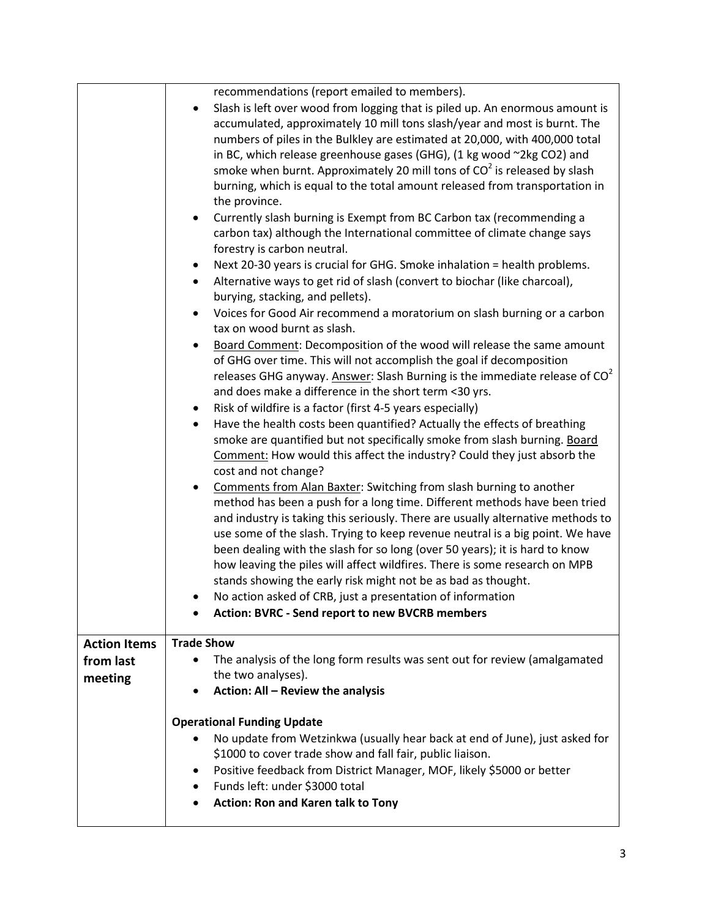|                      | recommendations (report emailed to members).<br>Slash is left over wood from logging that is piled up. An enormous amount is<br>accumulated, approximately 10 mill tons slash/year and most is burnt. The<br>numbers of piles in the Bulkley are estimated at 20,000, with 400,000 total<br>in BC, which release greenhouse gases (GHG), (1 kg wood ~2kg CO2) and<br>smoke when burnt. Approximately 20 mill tons of $CO2$ is released by slash<br>burning, which is equal to the total amount released from transportation in<br>the province.<br>Currently slash burning is Exempt from BC Carbon tax (recommending a<br>carbon tax) although the International committee of climate change says<br>forestry is carbon neutral.<br>Next 20-30 years is crucial for GHG. Smoke inhalation = health problems.<br>٠<br>Alternative ways to get rid of slash (convert to biochar (like charcoal),<br>$\bullet$<br>burying, stacking, and pellets).<br>Voices for Good Air recommend a moratorium on slash burning or a carbon<br>tax on wood burnt as slash.<br>Board Comment: Decomposition of the wood will release the same amount<br>٠<br>of GHG over time. This will not accomplish the goal if decomposition<br>releases GHG anyway. Answer: Slash Burning is the immediate release of $CO2$<br>and does make a difference in the short term <30 yrs.<br>Risk of wildfire is a factor (first 4-5 years especially)<br>٠<br>Have the health costs been quantified? Actually the effects of breathing<br>$\bullet$<br>smoke are quantified but not specifically smoke from slash burning. Board<br>Comment: How would this affect the industry? Could they just absorb the<br>cost and not change?<br>Comments from Alan Baxter: Switching from slash burning to another<br>method has been a push for a long time. Different methods have been tried<br>and industry is taking this seriously. There are usually alternative methods to<br>use some of the slash. Trying to keep revenue neutral is a big point. We have<br>been dealing with the slash for so long (over 50 years); it is hard to know<br>how leaving the piles will affect wildfires. There is some research on MPB<br>stands showing the early risk might not be as bad as thought.<br>No action asked of CRB, just a presentation of information |
|----------------------|-------------------------------------------------------------------------------------------------------------------------------------------------------------------------------------------------------------------------------------------------------------------------------------------------------------------------------------------------------------------------------------------------------------------------------------------------------------------------------------------------------------------------------------------------------------------------------------------------------------------------------------------------------------------------------------------------------------------------------------------------------------------------------------------------------------------------------------------------------------------------------------------------------------------------------------------------------------------------------------------------------------------------------------------------------------------------------------------------------------------------------------------------------------------------------------------------------------------------------------------------------------------------------------------------------------------------------------------------------------------------------------------------------------------------------------------------------------------------------------------------------------------------------------------------------------------------------------------------------------------------------------------------------------------------------------------------------------------------------------------------------------------------------------------------------------------------------------------------------------------------------------------------------------------------------------------------------------------------------------------------------------------------------------------------------------------------------------------------------------------------------------------------------------------------------------------------------------------------------------------------------------------------------------------------------------------------|
|                      | <b>Action: BVRC - Send report to new BVCRB members</b>                                                                                                                                                                                                                                                                                                                                                                                                                                                                                                                                                                                                                                                                                                                                                                                                                                                                                                                                                                                                                                                                                                                                                                                                                                                                                                                                                                                                                                                                                                                                                                                                                                                                                                                                                                                                                                                                                                                                                                                                                                                                                                                                                                                                                                                                  |
| <b>Action Items</b>  | <b>Trade Show</b>                                                                                                                                                                                                                                                                                                                                                                                                                                                                                                                                                                                                                                                                                                                                                                                                                                                                                                                                                                                                                                                                                                                                                                                                                                                                                                                                                                                                                                                                                                                                                                                                                                                                                                                                                                                                                                                                                                                                                                                                                                                                                                                                                                                                                                                                                                       |
| from last<br>meeting | The analysis of the long form results was sent out for review (amalgamated<br>$\bullet$<br>the two analyses).<br>Action: All - Review the analysis                                                                                                                                                                                                                                                                                                                                                                                                                                                                                                                                                                                                                                                                                                                                                                                                                                                                                                                                                                                                                                                                                                                                                                                                                                                                                                                                                                                                                                                                                                                                                                                                                                                                                                                                                                                                                                                                                                                                                                                                                                                                                                                                                                      |
|                      | <b>Operational Funding Update</b><br>No update from Wetzinkwa (usually hear back at end of June), just asked for<br>$\bullet$<br>\$1000 to cover trade show and fall fair, public liaison.<br>Positive feedback from District Manager, MOF, likely \$5000 or better<br>٠<br>Funds left: under \$3000 total<br>$\bullet$<br><b>Action: Ron and Karen talk to Tony</b><br>٠                                                                                                                                                                                                                                                                                                                                                                                                                                                                                                                                                                                                                                                                                                                                                                                                                                                                                                                                                                                                                                                                                                                                                                                                                                                                                                                                                                                                                                                                                                                                                                                                                                                                                                                                                                                                                                                                                                                                               |